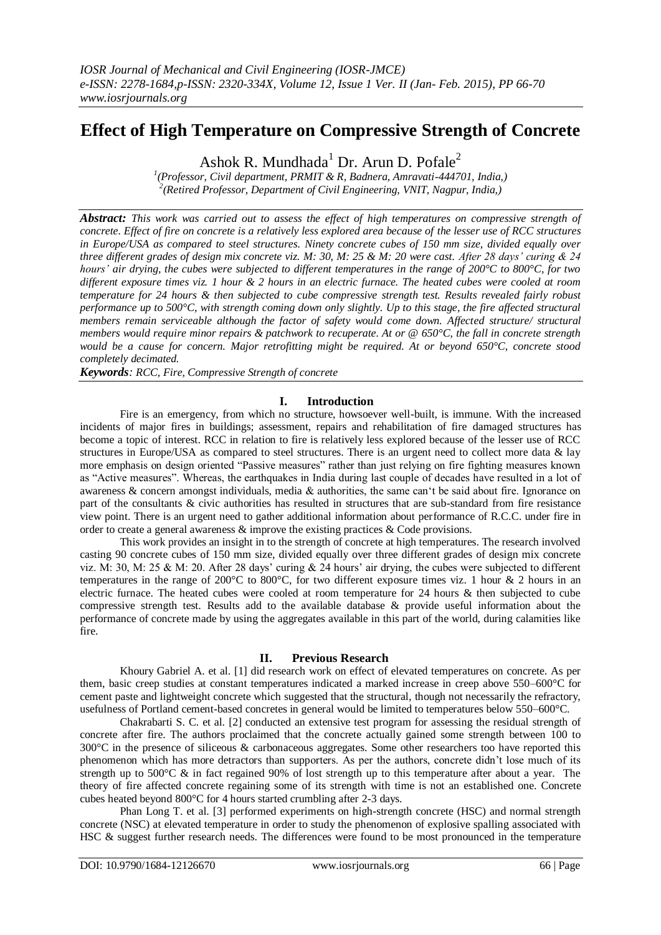# **Effect of High Temperature on Compressive Strength of Concrete**

Ashok R. Mundhada<sup>1</sup> Dr. Arun D. Pofale<sup>2</sup>

*1 (Professor, Civil department, PRMIT & R, Badnera, Amravati-444701, India,) 2 (Retired Professor, Department of Civil Engineering, VNIT, Nagpur, India,)*

*Abstract: This work was carried out to assess the effect of high temperatures on compressive strength of concrete. Effect of fire on concrete is a relatively less explored area because of the lesser use of RCC structures in Europe/USA as compared to steel structures. Ninety concrete cubes of 150 mm size, divided equally over three different grades of design mix concrete viz. M: 30, M: 25 & M: 20 were cast. After 28 days' curing & 24 hours' air drying, the cubes were subjected to different temperatures in the range of 200°C to 800°C, for two different exposure times viz. 1 hour & 2 hours in an electric furnace. The heated cubes were cooled at room temperature for 24 hours & then subjected to cube compressive strength test. Results revealed fairly robust performance up to 500°C, with strength coming down only slightly. Up to this stage, the fire affected structural members remain serviceable although the factor of safety would come down. Affected structure/ structural members would require minor repairs & patchwork to recuperate. At or @ 650°C, the fall in concrete strength would be a cause for concern. Major retrofitting might be required. At or beyond 650°C, concrete stood completely decimated.* 

*Keywords: RCC, Fire, Compressive Strength of concrete*

## **I. Introduction**

Fire is an emergency, from which no structure, howsoever well-built, is immune. With the increased incidents of major fires in buildings; assessment, repairs and rehabilitation of fire damaged structures has become a topic of interest. RCC in relation to fire is relatively less explored because of the lesser use of RCC structures in Europe/USA as compared to steel structures. There is an urgent need to collect more data & lay more emphasis on design oriented "Passive measures" rather than just relying on fire fighting measures known as "Active measures". Whereas, the earthquakes in India during last couple of decades have resulted in a lot of awareness & concern amongst individuals, media & authorities, the same can't be said about fire. Ignorance on part of the consultants & civic authorities has resulted in structures that are sub-standard from fire resistance view point. There is an urgent need to gather additional information about performance of R.C.C. under fire in order to create a general awareness & improve the existing practices & Code provisions.

This work provides an insight in to the strength of concrete at high temperatures. The research involved casting 90 concrete cubes of 150 mm size, divided equally over three different grades of design mix concrete viz. M: 30, M: 25 & M: 20. After 28 days' curing & 24 hours' air drying, the cubes were subjected to different temperatures in the range of 200 $^{\circ}$ C to 800 $^{\circ}$ C, for two different exposure times viz. 1 hour & 2 hours in an electric furnace. The heated cubes were cooled at room temperature for 24 hours & then subjected to cube compressive strength test. Results add to the available database & provide useful information about the performance of concrete made by using the aggregates available in this part of the world, during calamities like fire.

## **II. Previous Research**

Khoury Gabriel A. et al. [1] did research work on effect of elevated temperatures on concrete. As per them, basic creep studies at constant temperatures indicated a marked increase in creep above 550–600°C for cement paste and lightweight concrete which suggested that the structural, though not necessarily the refractory, usefulness of Portland cement-based concretes in general would be limited to temperatures below 550–600°C.

Chakrabarti S. C. et al. [2] conducted an extensive test program for assessing the residual strength of concrete after fire. The authors proclaimed that the concrete actually gained some strength between 100 to 300°C in the presence of siliceous & carbonaceous aggregates. Some other researchers too have reported this phenomenon which has more detractors than supporters. As per the authors, concrete didn"t lose much of its strength up to 500°C & in fact regained 90% of lost strength up to this temperature after about a year. The theory of fire affected concrete regaining some of its strength with time is not an established one. Concrete cubes heated beyond 800°C for 4 hours started crumbling after 2-3 days.

[Phan](http://ascelibrary.aip.org/vsearch/servlet/VerityServlet?KEY=ASCERL&possible1=Phan%2C+Long+T.&possible1zone=author&maxdisp=25&smode=strresults&aqs=true) Long T. et al. [3] performed experiments on high-strength concrete (HSC) and normal strength concrete (NSC) at elevated temperature in order to study the phenomenon of explosive spalling associated with HSC & suggest further research needs. The differences were found to be most pronounced in the temperature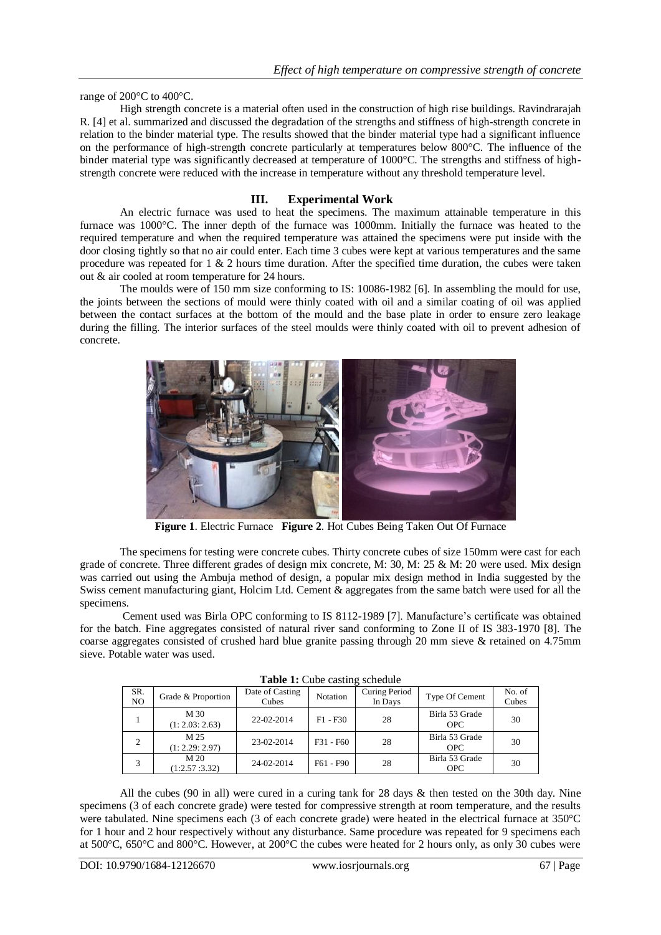range of 200°C to 400°C.

High strength concrete is a material often used in the construction of high rise buildings. Ravindrarajah R. [4] et al. summarized and discussed the degradation of the strengths and stiffness of high-strength concrete in relation to the binder material type. The results showed that the binder material type had a significant influence on the performance of high-strength concrete particularly at temperatures below 800°C. The influence of the binder material type was significantly decreased at temperature of 1000°C. The strengths and stiffness of highstrength concrete were reduced with the increase in temperature without any threshold temperature level.

## **III. Experimental Work**

An electric furnace was used to heat the specimens. The maximum attainable temperature in this furnace was 1000°C. The inner depth of the furnace was 1000mm. Initially the furnace was heated to the required temperature and when the required temperature was attained the specimens were put inside with the door closing tightly so that no air could enter. Each time 3 cubes were kept at various temperatures and the same procedure was repeated for  $1 \& 2$  hours time duration. After the specified time duration, the cubes were taken out & air cooled at room temperature for 24 hours.

The moulds were of 150 mm size conforming to IS: 10086-1982 [6]. In assembling the mould for use, the joints between the sections of mould were thinly coated with oil and a similar coating of oil was applied between the contact surfaces at the bottom of the mould and the base plate in order to ensure zero leakage during the filling. The interior surfaces of the steel moulds were thinly coated with oil to prevent adhesion of concrete.



**Figure 1**. Electric Furnace **Figure 2**. Hot Cubes Being Taken Out Of Furnace

The specimens for testing were concrete cubes. Thirty concrete cubes of size 150mm were cast for each grade of concrete. Three different grades of design mix concrete, M: 30, M: 25 & M: 20 were used. Mix design was carried out using the Ambuja method of design, a popular mix design method in India suggested by the Swiss cement manufacturing giant, Holcim Ltd. Cement & aggregates from the same batch were used for all the specimens.

Cement used was Birla OPC conforming to IS 8112-1989 [7]. Manufacture's certificate was obtained for the batch. Fine aggregates consisted of natural river sand conforming to Zone II of IS 383-1970 [8]. The coarse aggregates consisted of crushed hard blue granite passing through 20 mm sieve & retained on 4.75mm sieve. Potable water was used.

| <b>THOIC IT CHOC CHOILLE SCHOGHIO</b> |                                  |                          |             |                          |                              |                 |  |  |  |
|---------------------------------------|----------------------------------|--------------------------|-------------|--------------------------|------------------------------|-----------------|--|--|--|
| SR.<br>NO.                            | Grade & Proportion               | Date of Casting<br>Cubes | Notation    | Curing Period<br>In Days | Type Of Cement               | No. of<br>Cubes |  |  |  |
|                                       | M 30<br>(1: 2.03: 2.63)          | 22-02-2014               | $F1 - F30$  | 28                       | Birla 53 Grade<br><b>OPC</b> | 30              |  |  |  |
| 2                                     | M 25<br>(1: 2.29: 2.97)          | 23-02-2014               | $F31 - F60$ | 28                       | Birla 53 Grade<br><b>OPC</b> | 30              |  |  |  |
| 3                                     | M <sub>20</sub><br>(1:2.57:3.32) | 24-02-2014               | F61 - F90   | 28                       | Birla 53 Grade<br><b>OPC</b> | 30              |  |  |  |

**Table 1:** Cube casting schedule

All the cubes (90 in all) were cured in a curing tank for 28 days & then tested on the 30th day. Nine specimens (3 of each concrete grade) were tested for compressive strength at room temperature, and the results were tabulated. Nine specimens each (3 of each concrete grade) were heated in the electrical furnace at 350°C for 1 hour and 2 hour respectively without any disturbance. Same procedure was repeated for 9 specimens each at 500°C, 650°C and 800°C. However, at 200°C the cubes were heated for 2 hours only, as only 30 cubes were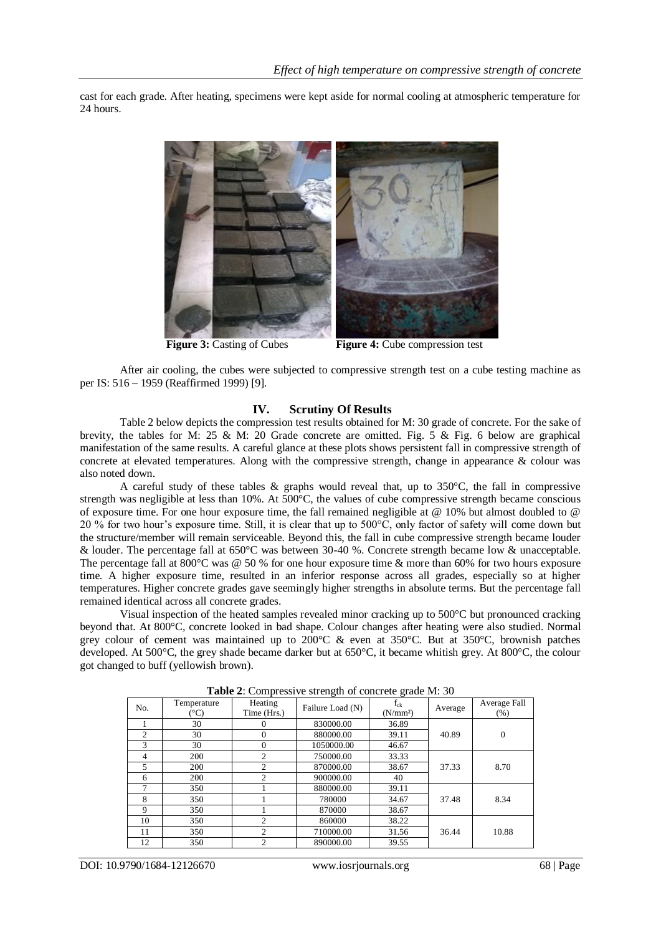cast for each grade. After heating, specimens were kept aside for normal cooling at atmospheric temperature for 24 hours.



**Figure 3:** Casting of Cubes **Figure 4:** Cube compression test

After air cooling, the cubes were subjected to compressive strength test on a cube testing machine as per IS: 516 – 1959 (Reaffirmed 1999) [9].

#### **IV. Scrutiny Of Results**

Table 2 below depicts the compression test results obtained for M: 30 grade of concrete. For the sake of brevity, the tables for M: 25 & M: 20 Grade concrete are omitted. Fig. 5 & Fig. 6 below are graphical manifestation of the same results. A careful glance at these plots shows persistent fall in compressive strength of concrete at elevated temperatures. Along with the compressive strength, change in appearance & colour was also noted down.

A careful study of these tables & graphs would reveal that, up to 350°C, the fall in compressive strength was negligible at less than 10%. At 500°C, the values of cube compressive strength became conscious of exposure time. For one hour exposure time, the fall remained negligible at @ 10% but almost doubled to @ 20 % for two hour"s exposure time. Still, it is clear that up to 500°C, only factor of safety will come down but the structure/member will remain serviceable. Beyond this, the fall in cube compressive strength became louder & louder. The percentage fall at 650°C was between 30-40 %. Concrete strength became low & unacceptable. The percentage fall at 800°C was  $@$  50 % for one hour exposure time  $&$  more than 60% for two hours exposure time. A higher exposure time, resulted in an inferior response across all grades, especially so at higher temperatures. Higher concrete grades gave seemingly higher strengths in absolute terms. But the percentage fall remained identical across all concrete grades.

Visual inspection of the heated samples revealed minor cracking up to 500°C but pronounced cracking beyond that. At 800°C, concrete looked in bad shape. Colour changes after heating were also studied. Normal grey colour of cement was maintained up to 200°C & even at 350°C. But at 350°C, brownish patches developed. At 500°C, the grey shade became darker but at 650°C, it became whitish grey. At 800°C, the colour got changed to buff (yellowish brown).

|     |                             | л.                     | ັ                | ັ                                |         |                     |
|-----|-----------------------------|------------------------|------------------|----------------------------------|---------|---------------------|
| No. | Temperature<br>$(^\circ C)$ | Heating<br>Time (Hrs.) | Failure Load (N) | $f_{ck}$<br>(N/mm <sup>2</sup> ) | Average | Average Fall<br>(%) |
|     | 30                          | $_{0}$                 | 830000.00        | 36.89                            |         |                     |
| 2   | 30                          | $\Omega$               | 880000.00        | 39.11                            | 40.89   | $\overline{0}$      |
| 3   | 30                          | $\theta$               | 1050000.00       | 46.67                            |         |                     |
| 4   | 200                         | 2                      | 750000.00        | 33.33                            |         |                     |
| 5   | 200                         | 2                      | 870000.00        | 38.67                            | 37.33   | 8.70                |
| 6   | 200                         | $\overline{c}$         | 900000.00        | 40                               |         |                     |
|     | 350                         |                        | 880000.00        | 39.11                            |         |                     |
| 8   | 350                         |                        | 780000           | 34.67                            | 37.48   | 8.34                |
| 9   | 350                         |                        | 870000           | 38.67                            |         |                     |
| 10  | 350                         | $\overline{c}$         | 860000           | 38.22                            |         |                     |
| 11  | 350                         | $\overline{c}$         | 710000.00        | 31.56                            | 36.44   | 10.88               |
| 12  | 350                         | 2                      | 890000.00        | 39.55                            |         |                     |

**Table 2**: Compressive strength of concrete grade M: 30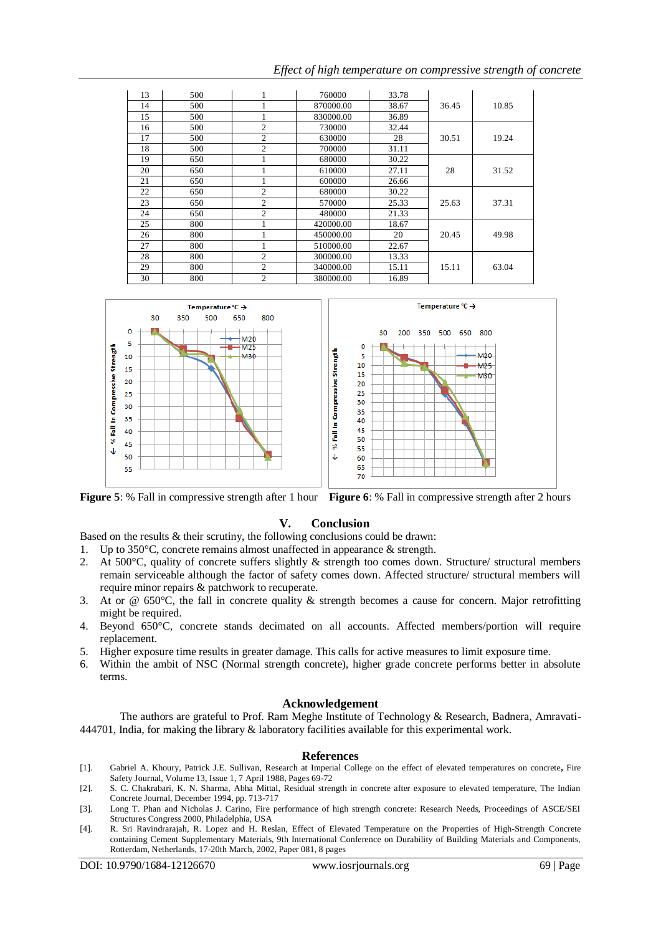| 13 | 500 |                | 760000    | 33.78 |       |       |
|----|-----|----------------|-----------|-------|-------|-------|
| 14 | 500 |                | 870000.00 | 38.67 | 36.45 | 10.85 |
| 15 | 500 |                | 830000.00 | 36.89 |       |       |
| 16 | 500 | 2              | 730000    | 32.44 |       |       |
| 17 | 500 | $\overline{c}$ | 630000    | 28    | 30.51 | 19.24 |
| 18 | 500 | $\overline{2}$ | 700000    | 31.11 |       |       |
| 19 | 650 |                | 680000    | 30.22 |       |       |
| 20 | 650 |                | 610000    | 27.11 | 28    | 31.52 |
| 21 | 650 |                | 600000    | 26.66 |       |       |
| 22 | 650 | $\overline{2}$ | 680000    | 30.22 |       |       |
| 23 | 650 | $\overline{2}$ | 570000    | 25.33 | 25.63 | 37.31 |
| 24 | 650 | 2              | 480000    | 21.33 |       |       |
| 25 | 800 |                | 420000.00 | 18.67 |       |       |
| 26 | 800 |                | 450000.00 | 20    | 20.45 | 49.98 |
| 27 | 800 |                | 510000.00 | 22.67 |       |       |
| 28 | 800 | $\overline{c}$ | 300000.00 | 13.33 |       |       |
| 29 | 800 | $\overline{2}$ | 340000.00 | 15.11 | 15.11 | 63.04 |
| 30 | 800 | $\overline{c}$ | 380000.00 | 16.89 |       |       |

*Effect of high temperature on compressive strength of concrete*





**Figure 5**: % Fall in compressive strength after 1 hour **Figure 6**: % Fall in compressive strength after 2 hours

## **V. Conclusion**

Based on the results & their scrutiny, the following conclusions could be drawn:

- 1. Up to 350°C, concrete remains almost unaffected in appearance & strength.
- 2. At 500°C, quality of concrete suffers slightly & strength too comes down. Structure/ structural members remain serviceable although the factor of safety comes down. Affected structure/ structural members will require minor repairs & patchwork to recuperate.
- 3. At or  $\omega$  650°C, the fall in concrete quality  $\&$  strength becomes a cause for concern. Major retrofitting might be required.
- 4. Beyond 650°C, concrete stands decimated on all accounts. Affected members/portion will require replacement.
- 5. Higher exposure time results in greater damage. This calls for active measures to limit exposure time.
- 6. Within the ambit of NSC (Normal strength concrete), higher grade concrete performs better in absolute terms.

#### **Acknowledgement**

The authors are grateful to Prof. Ram Meghe Institute of Technology & Research, Badnera, Amravati-444701, India, for making the library & laboratory facilities available for this experimental work.

#### **References**

- [1]. Gabriel A. Khoury, Patrick J.E. Sullivan, [Research at Imperial College on the effect of elevated temperatures on concrete](http://www.sciencedirect.com/science?_ob=ArticleURL&_udi=B6V37-47WTSCK-M&_user=6509264&_coverDate=04%2F07%2F1988&_alid=1581058666&_rdoc=138&_fmt=high&_orig=search&_origin=search&_zone=rslt_list_item&_cdi=5723&_sort=r&_st=13&_docanchor=&view=c&_ct=1417&_acct=C000070039&_version=1&_urlVersion=0&_userid=6509264&md5=f1fa5af708380022d369f11a6e1dd8a1&searchtype=a)**,** Fire Safety Journal, Volume 13, Issue 1, 7 April 1988, Pages 69-72
- [2]. S. C. Chakrabari, K. N. Sharma, Abha Mittal, Residual strength in concrete after exposure to elevated temperature, The Indian Concrete Journal, December 1994, pp. 713-717
- [3]. [Long T. Phan](http://ascelibrary.aip.org/vsearch/servlet/VerityServlet?KEY=ASCERL&possible1=Phan%2C+Long+T.&possible1zone=author&maxdisp=25&smode=strresults&aqs=true) and [Nicholas J. Carino,](http://ascelibrary.aip.org/vsearch/servlet/VerityServlet?KEY=ASCERL&possible1=Carino%2C+Nicholas+J.&possible1zone=author&maxdisp=25&smode=strresults&aqs=true) Fire performance of high strength concrete: Research Needs, Proceedings of ASCE/SEI Structures Congress 2000, Philadelphia, USA
- [4]. R. Sri Ravindrarajah, R. Lopez and H. Reslan, Effect of Elevated Temperature on the Properties of High-Strength Concrete containing Cement Supplementary Materials, 9th International Conference on Durability of Building Materials and Components, Rotterdam, Netherlands, 17-20th March, 2002, Paper 081, 8 pages